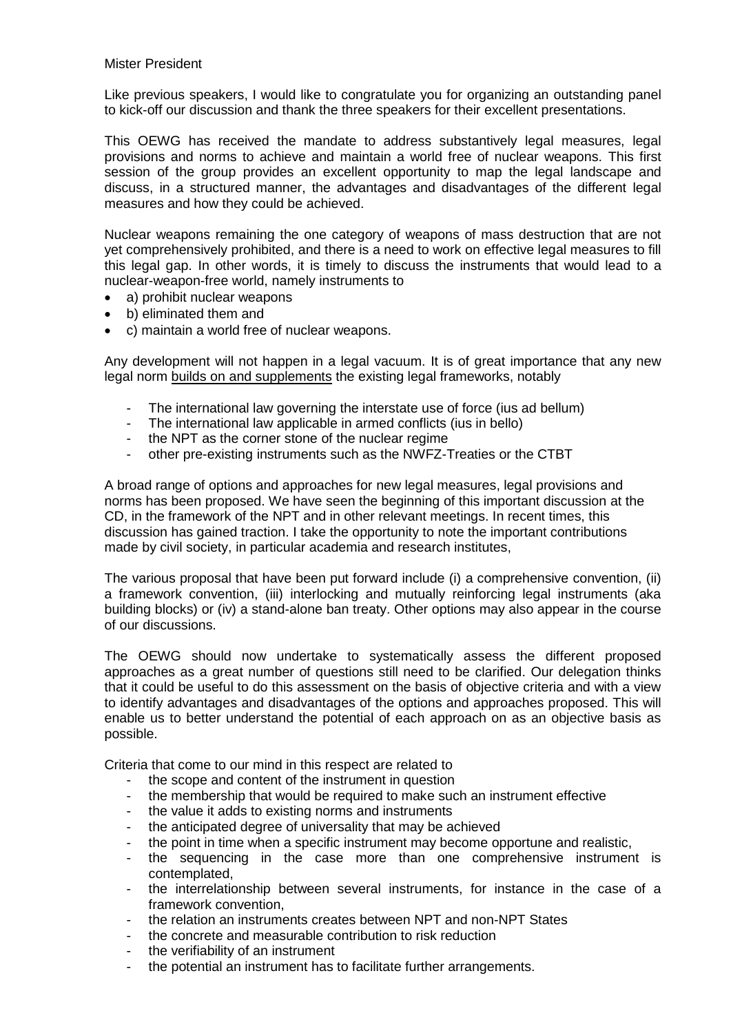## Mister President

Like previous speakers, I would like to congratulate you for organizing an outstanding panel to kick-off our discussion and thank the three speakers for their excellent presentations.

This OEWG has received the mandate to address substantively legal measures, legal provisions and norms to achieve and maintain a world free of nuclear weapons. This first session of the group provides an excellent opportunity to map the legal landscape and discuss, in a structured manner, the advantages and disadvantages of the different legal measures and how they could be achieved.

Nuclear weapons remaining the one category of weapons of mass destruction that are not yet comprehensively prohibited, and there is a need to work on effective legal measures to fill this legal gap. In other words, it is timely to discuss the instruments that would lead to a nuclear-weapon-free world, namely instruments to

- a) prohibit nuclear weapons
- b) eliminated them and
- c) maintain a world free of nuclear weapons.

Any development will not happen in a legal vacuum. It is of great importance that any new legal norm builds on and supplements the existing legal frameworks, notably

- The international law governing the interstate use of force (ius ad bellum)
- The international law applicable in armed conflicts (ius in bello)
- the NPT as the corner stone of the nuclear regime
- other pre-existing instruments such as the NWFZ-Treaties or the CTBT

A broad range of options and approaches for new legal measures, legal provisions and norms has been proposed. We have seen the beginning of this important discussion at the CD, in the framework of the NPT and in other relevant meetings. In recent times, this discussion has gained traction. I take the opportunity to note the important contributions made by civil society, in particular academia and research institutes,

The various proposal that have been put forward include (i) a comprehensive convention, (ii) a framework convention, (iii) interlocking and mutually reinforcing legal instruments (aka building blocks) or (iv) a stand-alone ban treaty. Other options may also appear in the course of our discussions.

The OEWG should now undertake to systematically assess the different proposed approaches as a great number of questions still need to be clarified. Our delegation thinks that it could be useful to do this assessment on the basis of objective criteria and with a view to identify advantages and disadvantages of the options and approaches proposed. This will enable us to better understand the potential of each approach on as an objective basis as possible.

Criteria that come to our mind in this respect are related to

- the scope and content of the instrument in question
- the membership that would be required to make such an instrument effective
- the value it adds to existing norms and instruments
- the anticipated degree of universality that may be achieved
- the point in time when a specific instrument may become opportune and realistic,
- the sequencing in the case more than one comprehensive instrument is contemplated,
- the interrelationship between several instruments, for instance in the case of a framework convention,
- the relation an instruments creates between NPT and non-NPT States
- the concrete and measurable contribution to risk reduction
- the verifiability of an instrument
- the potential an instrument has to facilitate further arrangements.